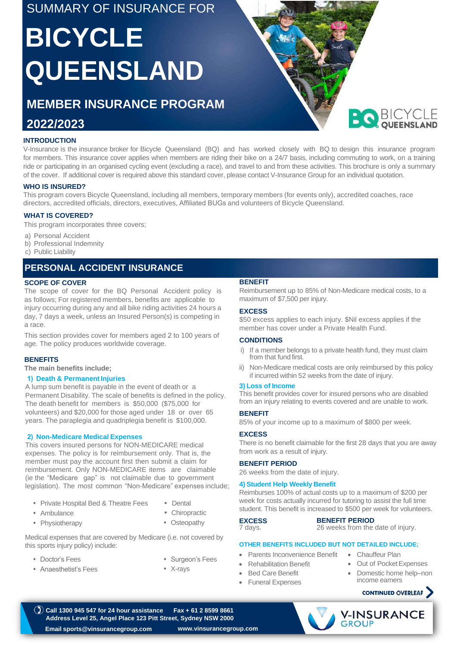## SUMMARY OF INSURANCE FOR

# **BICYCLE QUEENSLAND**

# **MEMBER INSURANCE PROGRAM**

# **2022/2023**

#### **INTRODUCTION**

V-Insurance is the insurance broker for Bicycle Queensland (BQ) and has worked closely with BQ to design this insurance program for members. This insurance cover applies when members are riding their bike on a 24/7 basis, including commuting to work, on a training ride or participating in an organised cycling event (excluding a race), and travel to and from these activities. This brochure is only a summary of the cover. If additional cover is required above this standard cover, please contact V-Insurance Group for an individual quotation.

#### **WHO IS INSURED?**

This program covers Bicycle Queensland, including all members, temporary members (for events only), accredited coaches, race directors, accredited officials, directors, executives, Affiliated BUGs and volunteers of Bicycle Queensland.

#### **WHAT IS COVERED?**

This program incorporates three covers;

- a) Personal Accident
- b) Professional Indemnity
- c) Public Liability

## **PERSONAL ACCIDENT INSURANCE**

#### **SCOPE OF COVER**

The scope of cover for the BQ Personal Accident policy is as follows; For registered members, benefits are applicable to injury occurring during any and all bike riding activities 24 hours a day, 7 days a week, unless an Insured Person(s) is competing in a race.

This section provides cover for members aged 2 to 100 years of age. The policy produces worldwide coverage.

#### **BENEFITS**

**The main benefits include;**

#### **1) Death & Permanent Injuries**

A lump sum benefit is payable in the event of death or a Permanent Disability. The scale of benefits is defined in the policy. The death benefit for members is \$50,000 (\$75,000 for volunteers) and \$20,000 for those aged under 18 or over 65 years. The paraplegia and quadriplegia benefit is \$100,000.

#### **2) Non-Medicare Medical Expenses**

This covers insured persons for NON-MEDICARE medical expenses. The policy is for reimbursement only. That is, the member must pay the account first then submit a claim for reimbursement. Only NON-MEDICARE items are claimable (ie the "Medicare gap" is not claimable due to government legislation). The most common "Non-Medicare" expenses include;

- Private Hospital Bed & Theatre Fees Dental
- Ambulance Chiropractic
- Physiotherapy  **Osteopathy <b>EXCESS**
- -

Medical expenses that are covered by Medicare (i.e. not covered by this sports injury policy) include: **OTHER BENEFITS INCLUDED BUT NOT DETAILED INCLUDE;**

- Doctor's Fees
- Anaesthetist's Fees
- Surgeon's Fees
- X-rays

#### **BENEFIT**

Reimbursement up to 85% of Non-Medicare medical costs, to a maximum of \$7,500 per injury.

#### **EXCESS**

\$50 excess applies to each injury. \$Nil excess applies if the member has cover under a Private Health Fund.

#### **CONDITIONS**

- i) If a member belongs to a private health fund, they must claim from that fund first.
- ii) Non-Medicare medical costs are only reimbursed by this policy if incurred within 52 weeks from the date of injury.

#### **3) Loss of Income**

This benefit provides cover for insured persons who are disabled from an injury relating to events covered and are unable to work.

#### **BENEFIT**

85% of your income up to a maximum of \$800 per week.

#### **EXCESS**

There is no benefit claimable for the first 28 days that you are away from work as a result of injury.

#### **BENEFIT PERIOD**

26 weeks from the date of injury.

#### **4) Student Help Weekly Benefit**

Reimburses 100% of actual costs up to a maximum of \$200 per week for costs actually incurred for tutoring to assist the full time student. This benefit is increased to \$500 per week for volunteers.

#### **BENEFIT PERIOD**

7 days.

26 weeks from the date of injury.

- Parents Inconvenience Benefit
- Rehabilitation Benefit
- **Bed Care Benefit**
- Funeral Expenses

#### **CONTINUED OVERLEAF**

• Out of Pocket Expenses Domestic home help-non

income earners





• Chauffeur Plan

**BO** BICYCI